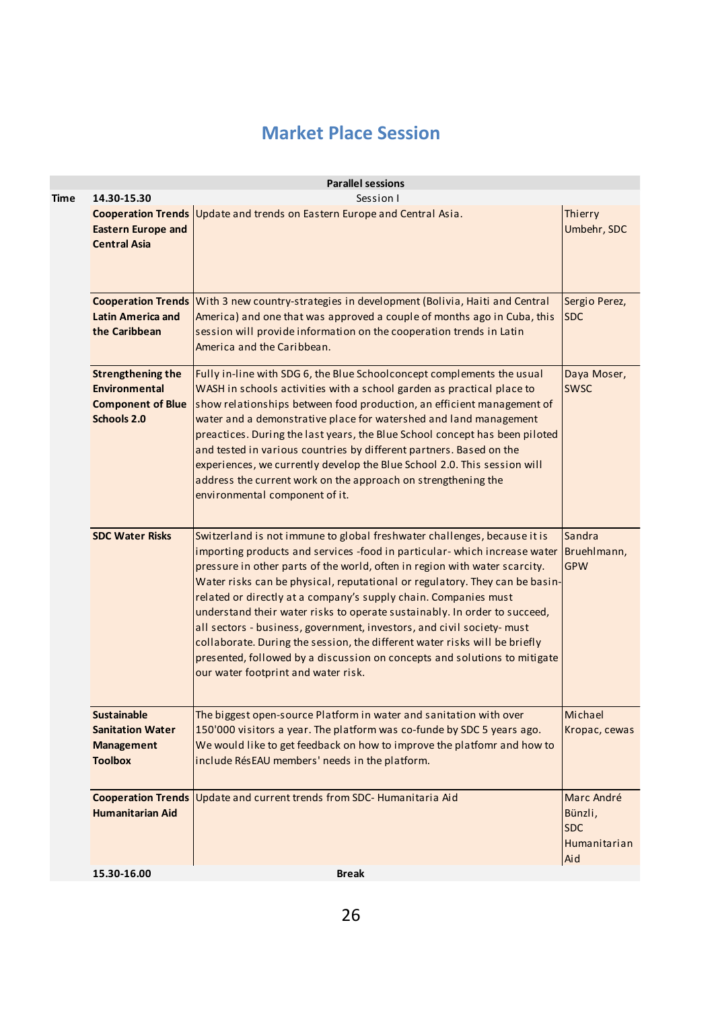## **Market Place Session**

|                                                                                             | <b>Parallel sessions</b>                                                                                                                                                                                                                                                                                                                                                                                                                                                                                                                                                                                                                                                                                                                                   |                                                                   |
|---------------------------------------------------------------------------------------------|------------------------------------------------------------------------------------------------------------------------------------------------------------------------------------------------------------------------------------------------------------------------------------------------------------------------------------------------------------------------------------------------------------------------------------------------------------------------------------------------------------------------------------------------------------------------------------------------------------------------------------------------------------------------------------------------------------------------------------------------------------|-------------------------------------------------------------------|
| 14.30-15.30<br><b>Eastern Europe and</b><br><b>Central Asia</b>                             | Session I<br>Cooperation Trends Update and trends on Eastern Europe and Central Asia.                                                                                                                                                                                                                                                                                                                                                                                                                                                                                                                                                                                                                                                                      | Thierry<br>Umbehr, SDC                                            |
| <b>Latin America and</b><br>the Caribbean                                                   | Cooperation Trends With 3 new country-strategies in development (Bolivia, Haiti and Central<br>America) and one that was approved a couple of months ago in Cuba, this<br>session will provide information on the cooperation trends in Latin<br>America and the Caribbean.                                                                                                                                                                                                                                                                                                                                                                                                                                                                                | Sergio Perez,<br><b>SDC</b>                                       |
| <b>Strengthening the</b><br><b>Environmental</b><br><b>Component of Blue</b><br>Schools 2.0 | Fully in-line with SDG 6, the Blue Schoolconcept complements the usual<br>WASH in schools activities with a school garden as practical place to<br>show relationships between food production, an efficient management of<br>water and a demonstrative place for watershed and land management<br>preactices. During the last years, the Blue School concept has been piloted<br>and tested in various countries by different partners. Based on the<br>experiences, we currently develop the Blue School 2.0. This session will<br>address the current work on the approach on strengthening the<br>environmental component of it.                                                                                                                        | Daya Moser,<br><b>SWSC</b>                                        |
| <b>SDC Water Risks</b>                                                                      | Switzerland is not immune to global freshwater challenges, because it is<br>importing products and services -food in particular- which increase water Bruehlmann,<br>pressure in other parts of the world, often in region with water scarcity.<br>Water risks can be physical, reputational or regulatory. They can be basin-<br>related or directly at a company's supply chain. Companies must<br>understand their water risks to operate sustainably. In order to succeed,<br>all sectors - business, government, investors, and civil society- must<br>collaborate. During the session, the different water risks will be briefly<br>presented, followed by a discussion on concepts and solutions to mitigate<br>our water footprint and water risk. | Sandra<br><b>GPW</b>                                              |
| <b>Sustainable</b><br><b>Sanitation Water</b><br><b>Management</b><br><b>Toolbox</b>        | The biggest open-source Platform in water and sanitation with over<br>150'000 visitors a year. The platform was co-funde by SDC 5 years ago.<br>We would like to get feedback on how to improve the platfomr and how to<br>include RésEAU members' needs in the platform.                                                                                                                                                                                                                                                                                                                                                                                                                                                                                  | Michael<br>Kropac, cewas                                          |
| <b>Humanitarian Aid</b>                                                                     | Cooperation Trends   Update and current trends from SDC- Humanitaria Aid                                                                                                                                                                                                                                                                                                                                                                                                                                                                                                                                                                                                                                                                                   | Marc André<br>Bünzli,<br><b>SDC</b><br><b>Humanitarian</b><br>Aid |
| 15.30-16.00                                                                                 | <b>Break</b>                                                                                                                                                                                                                                                                                                                                                                                                                                                                                                                                                                                                                                                                                                                                               |                                                                   |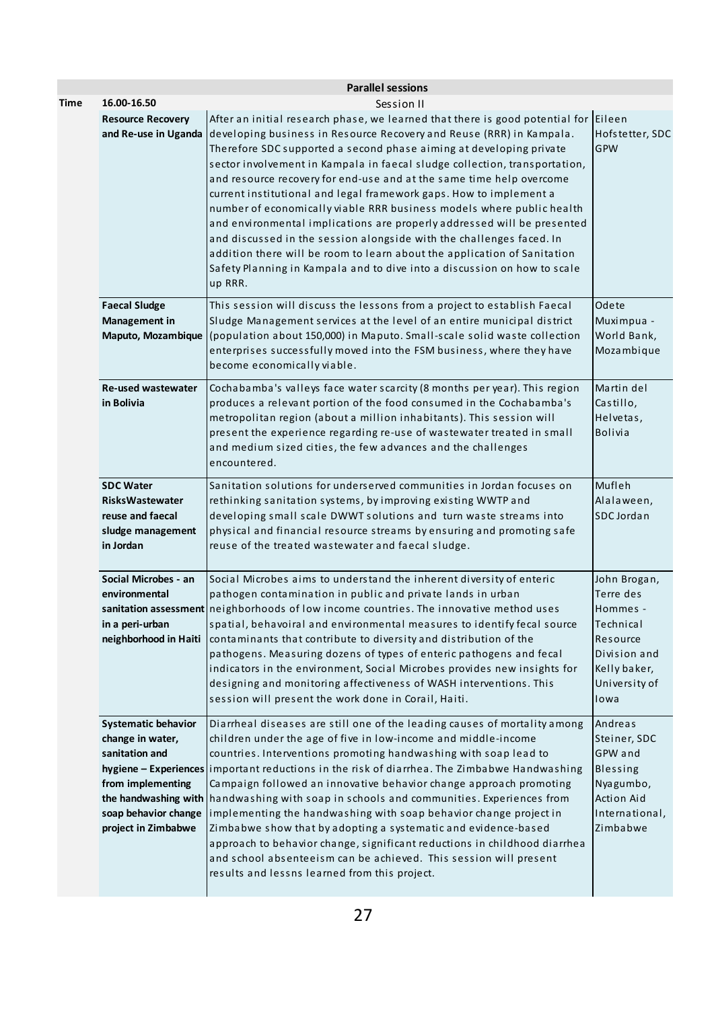|      |                                                                                                                                      | <b>Parallel sessions</b>                                                                                                                                                                                                                                                                                                                                                                                                                                                                                                                                                                                                                                                                                                                                                                                                                                                           |                                                                                                                         |
|------|--------------------------------------------------------------------------------------------------------------------------------------|------------------------------------------------------------------------------------------------------------------------------------------------------------------------------------------------------------------------------------------------------------------------------------------------------------------------------------------------------------------------------------------------------------------------------------------------------------------------------------------------------------------------------------------------------------------------------------------------------------------------------------------------------------------------------------------------------------------------------------------------------------------------------------------------------------------------------------------------------------------------------------|-------------------------------------------------------------------------------------------------------------------------|
| Time | 16.00-16.50                                                                                                                          | Session II                                                                                                                                                                                                                                                                                                                                                                                                                                                                                                                                                                                                                                                                                                                                                                                                                                                                         |                                                                                                                         |
|      | <b>Resource Recovery</b>                                                                                                             | After an initial research phase, we learned that there is good potential for Eileen<br>and Re-use in Uganda developing business in Resource Recovery and Reuse (RRR) in Kampala.<br>Therefore SDC supported a second phase aiming at developing private<br>sector involvement in Kampala in faecal sludge collection, transportation,<br>and resource recovery for end-use and at the same time help overcome<br>current institutional and legal framework gaps. How to implement a<br>number of economically viable RRR business models where public health<br>and environmental implications are properly addressed will be presented<br>and discussed in the session alongside with the challenges faced. In<br>addition there will be room to learn about the application of Sanitation<br>Safety Planning in Kampala and to dive into a discussion on how to scale<br>up RRR. | Hofstetter, SDC<br>GPW                                                                                                  |
|      | <b>Faecal Sludge</b><br>Management in<br>Maputo, Mozambique                                                                          | This session will discuss the lessons from a project to establish Faecal<br>Sludge Management services at the level of an entire municipal district<br>(population about 150,000) in Maputo. Small-scale solid waste collection<br>enterprises successfully moved into the FSM business, where they have<br>become economically viable.                                                                                                                                                                                                                                                                                                                                                                                                                                                                                                                                            | Odete<br>Muximpua -<br>World Bank,<br>Mozambique                                                                        |
|      | <b>Re-used wastewater</b><br>in Bolivia                                                                                              | Cochabamba's valleys face water scarcity (8 months per year). This region<br>produces a relevant portion of the food consumed in the Cochabamba's<br>metropolitan region (about a million inhabitants). This session will<br>present the experience regarding re-use of wastewater treated in small<br>and medium sized cities, the few advances and the challenges<br>encountered.                                                                                                                                                                                                                                                                                                                                                                                                                                                                                                | Martin del<br>Castillo,<br>Helvetas,<br><b>Bolivia</b>                                                                  |
|      | <b>SDC Water</b><br><b>RisksWastewater</b><br>reuse and faecal<br>sludge management<br>in Jordan                                     | Sanitation solutions for underserved communities in Jordan focuses on<br>rethinking sanitation systems, by improving existing WWTP and<br>developing small scale DWWT solutions and turn waste streams into<br>physical and financial resource streams by ensuring and promoting safe<br>reuse of the treated wastewater and faecal sludge.                                                                                                                                                                                                                                                                                                                                                                                                                                                                                                                                        | Mufleh<br>Alalaween,<br>SDC Jordan                                                                                      |
|      | Social Microbes - an<br>environmental<br>in a peri-urban<br>neighborhood in Haiti                                                    | Social Microbes aims to understand the inherent diversity of enteric<br>pathogen contamination in public and private lands in urban<br>sanitation assessment neighborhoods of low income countries. The innovative method uses<br>spatial, behavoiral and environmental measures to identify fecal source<br>contaminants that contribute to diversity and distribution of the<br>pathogens. Measuring dozens of types of enteric pathogens and fecal<br>indicators in the environment, Social Microbes provides new insights for<br>designing and monitoring affectiveness of WASH interventions. This<br>session will present the work done in Corail, Haiti.                                                                                                                                                                                                                    | John Brogan,<br>Terre des<br>Hommes -<br>Technical<br>Resource<br>Division and<br>Kelly baker,<br>University of<br>lowa |
|      | <b>Systematic behavior</b><br>change in water,<br>sanitation and<br>from implementing<br>soap behavior change<br>project in Zimbabwe | Diarrheal diseases are still one of the leading causes of mortality among<br>children under the age of five in low-income and middle-income<br>countries. Interventions promoting handwashing with soap lead to<br>hygiene - Experiences important reductions in the risk of diarrhea. The Zimbabwe Handwashing<br>Campaign followed an innovative behavior change approach promoting<br>the handwashing with   handwashing with soap in schools and communities. Experiences from<br>implementing the handwashing with soap behavior change project in<br>Zimbabwe show that by adopting a systematic and evidence-based<br>approach to behavior change, significant reductions in childhood diarrhea<br>and school absenteeism can be achieved. This session will present<br>results and lessns learned from this project.                                                       | Andreas<br>Steiner, SDC<br>GPW and<br>Blessing<br>Nyagumbo,<br>Action Aid<br>International,<br>Zimbabwe                 |